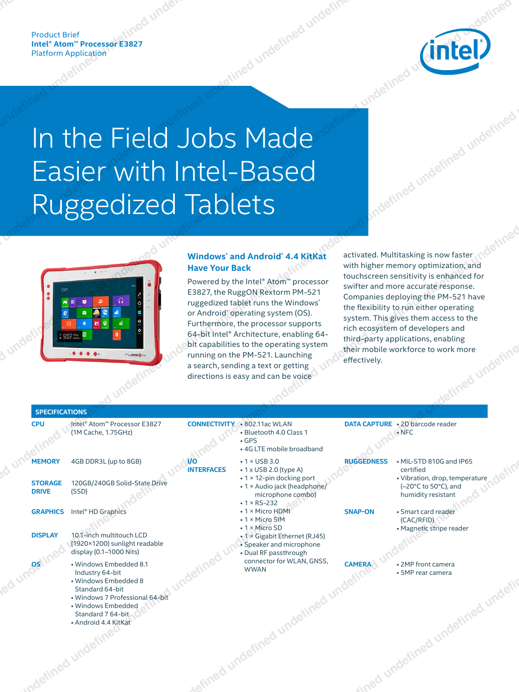

# In the Field Jobs Made Easier with Intel-Based Ruggedized Tablets



# **Windows\* and Android\* 4.4 KitKat Have Your Back**

| Product Brief<br>Intel® Atom™ Processor E3827<br>Platform Application<br>(intel)                                                                                                                                                                                                                                                                                                                                                                                                                                                                                                                                                                                                                                                                                                                                                                                                                                                                                                                                                                                                                                                                                                                                                                                                                                                                                                                                                                                                                                                                    |  |
|-----------------------------------------------------------------------------------------------------------------------------------------------------------------------------------------------------------------------------------------------------------------------------------------------------------------------------------------------------------------------------------------------------------------------------------------------------------------------------------------------------------------------------------------------------------------------------------------------------------------------------------------------------------------------------------------------------------------------------------------------------------------------------------------------------------------------------------------------------------------------------------------------------------------------------------------------------------------------------------------------------------------------------------------------------------------------------------------------------------------------------------------------------------------------------------------------------------------------------------------------------------------------------------------------------------------------------------------------------------------------------------------------------------------------------------------------------------------------------------------------------------------------------------------------------|--|
| In the Field Jobs Made<br>Easier with Intel-Based<br>Ruggedized Tablets                                                                                                                                                                                                                                                                                                                                                                                                                                                                                                                                                                                                                                                                                                                                                                                                                                                                                                                                                                                                                                                                                                                                                                                                                                                                                                                                                                                                                                                                             |  |
| activated. Multitasking is now faster<br><b>Windows</b> and Android 4.4 KitKat<br>with higher memory optimization, and<br>touchscreen sensitivity is enhanced for<br>made.<br><b>Have Your Back</b><br>Powered by the Intel® Atom™ processor<br>E3827, the RuggON Rextorm PM-521<br>ruggedized tablet runs the Windows'<br>or Android' operating system (OS).<br>Solutistical Seristivity is emailed for<br>swifter and more accurate response.<br>Companies deploying the PM-521 have<br>the flexibility to run either operating<br>system. This gives them access to the<br>rich ecosystem of developers and<br><b>BERTHERE</b><br>Furthermore, the processor supports<br>64-bit Intel® Architecture, enabling 64-<br>bit capabilities to the operating system<br>running on the PM-521. Launching<br>a search, sending a text or getting<br>directions is easy and can be voice<br>SPECIFICATIONS                                                                                                                                                                                                                                                                                                                                                                                                                                                                                                                                                                                                                                                |  |
| DATA CAPTURE . 2D barcode reader<br>CPU Intel® Atom™ Processor E3827<br>CONNECTIVITY<br>802.11ac WLAN<br>Bluetooth 4.0 Class 1<br>6PS<br>4G LTE mobile broadband<br>(1M Cache, 1.75GHz)<br>RUGGEDNESS . MIL-STD 810G and IP65<br>$\cdot$ 1 $\times$ USB 3.0<br>MEMORY 4GB DDR3L (up to 8GB)<br>$\bigwedge$ $1/$<br><b>CONSERVANCES</b><br>$\cdot 1 \times \text{USB } 3.0$<br>$\cdot 1 \times \text{USB } 2.0 \text{ (type A)}$<br>$\cdot 1 \times 12$ -pin docking port<br>$\cdot 1 \times \text{Audio jack (headphone)}$<br>microphone combo)<br>$\cdot 1 \times \text{R5-232}$<br>$\cdot 1 \times \text{Micro HDMI}$<br>$\cdot 1 \times \text{Micro HDMI}$<br>$\cdot 1 \times \text{Micro HAMI}$<br>certified<br>• Vibration, drop, temperature<br>(-20°C to 50°C), and<br>humidity resistant<br><b>STORAGE</b> 120GB/240GB Solid-State Drive<br><b>DRIVE</b> (SSD)<br><b>GRAPHICS</b> Intel® HD Graphics<br><b>SNAP-ON</b><br>• Smart card reader<br>(CAC/RFID)<br>• Magnetic stripe reader<br>- 1 × Micro SIM<br>- 1 × Micro SIM<br>- 1 × Gigabit Ethernet (RJ45)<br>- Speaker and microphone<br>- Dual RF passthrough<br>connector for WLAN, GNSS,<br>DISPLAY 10.1-inch multitouch LCD<br>(1920×1200) sunlight readable<br>display (0.1–1000 Nits)<br><b>CAMERA</b><br>• 2MP front camera<br>• 5MP rear camera<br>n <sup>2</sup><br>· Windows Embedded 8.1<br><b>WWAN</b><br>Industry 64-bit<br>· Windows Embedded 8<br>Standard 64-bit<br>· Windows 7 Professional 64-bit<br>· Windows Embedded<br>Standard 7 64-bit<br>· Android 4.4 KitKat |  |
|                                                                                                                                                                                                                                                                                                                                                                                                                                                                                                                                                                                                                                                                                                                                                                                                                                                                                                                                                                                                                                                                                                                                                                                                                                                                                                                                                                                                                                                                                                                                                     |  |
|                                                                                                                                                                                                                                                                                                                                                                                                                                                                                                                                                                                                                                                                                                                                                                                                                                                                                                                                                                                                                                                                                                                                                                                                                                                                                                                                                                                                                                                                                                                                                     |  |
|                                                                                                                                                                                                                                                                                                                                                                                                                                                                                                                                                                                                                                                                                                                                                                                                                                                                                                                                                                                                                                                                                                                                                                                                                                                                                                                                                                                                                                                                                                                                                     |  |
|                                                                                                                                                                                                                                                                                                                                                                                                                                                                                                                                                                                                                                                                                                                                                                                                                                                                                                                                                                                                                                                                                                                                                                                                                                                                                                                                                                                                                                                                                                                                                     |  |
|                                                                                                                                                                                                                                                                                                                                                                                                                                                                                                                                                                                                                                                                                                                                                                                                                                                                                                                                                                                                                                                                                                                                                                                                                                                                                                                                                                                                                                                                                                                                                     |  |
|                                                                                                                                                                                                                                                                                                                                                                                                                                                                                                                                                                                                                                                                                                                                                                                                                                                                                                                                                                                                                                                                                                                                                                                                                                                                                                                                                                                                                                                                                                                                                     |  |